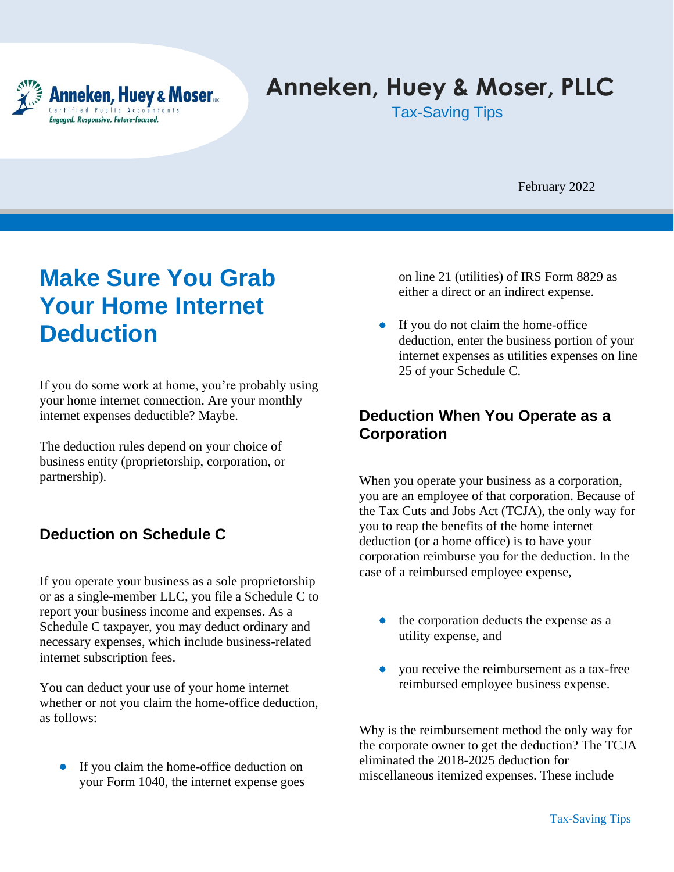

# **Anneken, Huey & Moser, PLLC**

Tax-Saving Tips

February 2022

## **Make Sure You Grab Your Home Internet Deduction**

If you do some work at home, you're probably using your home internet connection. Are your monthly internet expenses deductible? Maybe.

The deduction rules depend on your choice of business entity (proprietorship, corporation, or partnership).

### **Deduction on Schedule C**

If you operate your business as a sole proprietorship or as a single-member LLC, you file a Schedule C to report your business income and expenses. As a Schedule C taxpayer, you may deduct ordinary and necessary expenses, which include business-related internet subscription fees.

You can deduct your use of your home internet whether or not you claim the home-office deduction, as follows:

If you claim the home-office deduction on your Form 1040, the internet expense goes on line 21 (utilities) of IRS Form 8829 as either a direct or an indirect expense.

• If you do not claim the home-office deduction, enter the business portion of your internet expenses as utilities expenses on line 25 of your Schedule C.

### **Deduction When You Operate as a Corporation**

When you operate your business as a corporation, you are an employee of that corporation. Because of the Tax Cuts and Jobs Act (TCJA), the only way for you to reap the benefits of the home internet deduction (or a home office) is to have your corporation reimburse you for the deduction. In the case of a reimbursed employee expense,

- the corporation deducts the expense as a utility expense, and
- you receive the reimbursement as a tax-free reimbursed employee business expense.

Why is the reimbursement method the only way for the corporate owner to get the deduction? The TCJA eliminated the 2018-2025 deduction for miscellaneous itemized expenses. These include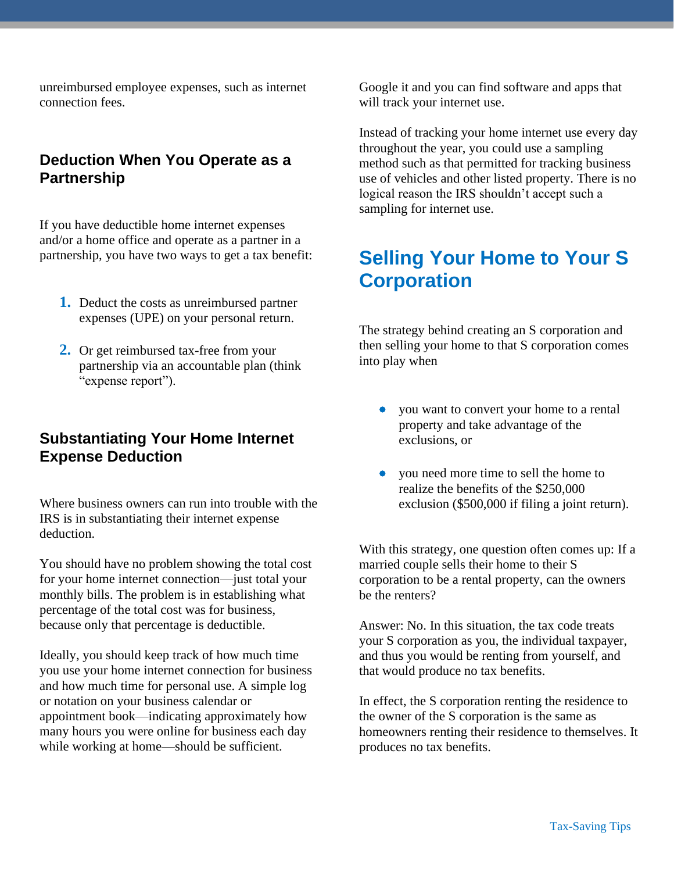unreimbursed employee expenses, such as internet connection fees.

### **Deduction When You Operate as a Partnership**

If you have deductible home internet expenses and/or a home office and operate as a partner in a partnership, you have two ways to get a tax benefit:

- **1.** Deduct the costs as unreimbursed partner expenses (UPE) on your personal return.
- **2.** Or get reimbursed tax-free from your partnership via an accountable plan (think "expense report").

#### **Substantiating Your Home Internet Expense Deduction**

Where business owners can run into trouble with the IRS is in substantiating their internet expense deduction.

You should have no problem showing the total cost for your home internet connection—just total your monthly bills. The problem is in establishing what percentage of the total cost was for business, because only that percentage is deductible.

Ideally, you should keep track of how much time you use your home internet connection for business and how much time for personal use. A simple log or notation on your business calendar or appointment book—indicating approximately how many hours you were online for business each day while working at home—should be sufficient.

Google it and you can find software and apps that will track your internet use.

Instead of tracking your home internet use every day throughout the year, you could use a sampling method such as that permitted for tracking business use of vehicles and other listed property. There is no logical reason the IRS shouldn't accept such a sampling for internet use.

## **Selling Your Home to Your S Corporation**

The strategy behind creating an S corporation and then selling your home to that S corporation comes into play when

- you want to convert your home to a rental property and take advantage of the exclusions, or
- you need more time to sell the home to realize the benefits of the \$250,000 exclusion (\$500,000 if filing a joint return).

With this strategy, one question often comes up: If a married couple sells their home to their S corporation to be a rental property, can the owners be the renters?

Answer: No. In this situation, the tax code treats your S corporation as you, the individual taxpayer, and thus you would be renting from yourself, and that would produce no tax benefits.

In effect, the S corporation renting the residence to the owner of the S corporation is the same as homeowners renting their residence to themselves. It produces no tax benefits.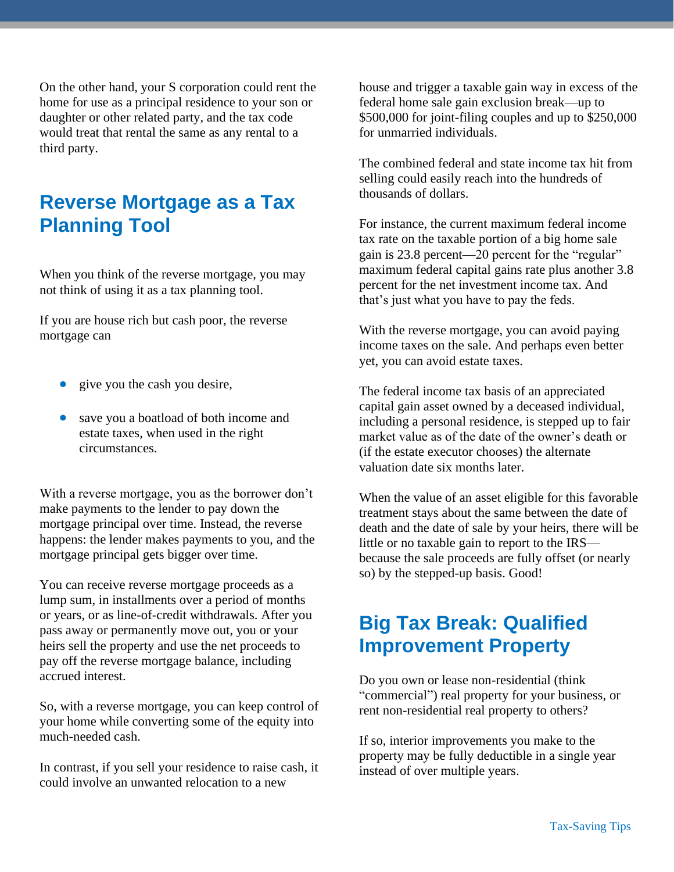On the other hand, your S corporation could rent the home for use as a principal residence to your son or daughter or other related party, and the tax code would treat that rental the same as any rental to a third party.

## **Reverse Mortgage as a Tax Planning Tool**

When you think of the reverse mortgage, you may not think of using it as a tax planning tool.

If you are house rich but cash poor, the reverse mortgage can

- give you the cash you desire,
- save you a boatload of both income and estate taxes, when used in the right circumstances.

With a reverse mortgage, you as the borrower don't make payments to the lender to pay down the mortgage principal over time. Instead, the reverse happens: the lender makes payments to you, and the mortgage principal gets bigger over time.

You can receive reverse mortgage proceeds as a lump sum, in installments over a period of months or years, or as line-of-credit withdrawals. After you pass away or permanently move out, you or your heirs sell the property and use the net proceeds to pay off the reverse mortgage balance, including accrued interest.

So, with a reverse mortgage, you can keep control of your home while converting some of the equity into much-needed cash.

In contrast, if you sell your residence to raise cash, it could involve an unwanted relocation to a new

house and trigger a taxable gain way in excess of the federal home sale gain exclusion break—up to \$500,000 for joint-filing couples and up to \$250,000 for unmarried individuals.

The combined federal and state income tax hit from selling could easily reach into the hundreds of thousands of dollars.

For instance, the current maximum federal income tax rate on the taxable portion of a big home sale gain is 23.8 percent—20 percent for the "regular" maximum federal capital gains rate plus another 3.8 percent for the net investment income tax. And that's just what you have to pay the feds.

With the reverse mortgage, you can avoid paying income taxes on the sale. And perhaps even better yet, you can avoid estate taxes.

The federal income tax basis of an appreciated capital gain asset owned by a deceased individual, including a personal residence, is stepped up to fair market value as of the date of the owner's death or (if the estate executor chooses) the alternate valuation date six months later.

When the value of an asset eligible for this favorable treatment stays about the same between the date of death and the date of sale by your heirs, there will be little or no taxable gain to report to the IRS because the sale proceeds are fully offset (or nearly so) by the stepped-up basis. Good!

## **Big Tax Break: Qualified Improvement Property**

Do you own or lease non-residential (think "commercial") real property for your business, or rent non-residential real property to others?

If so, interior improvements you make to the property may be fully deductible in a single year instead of over multiple years.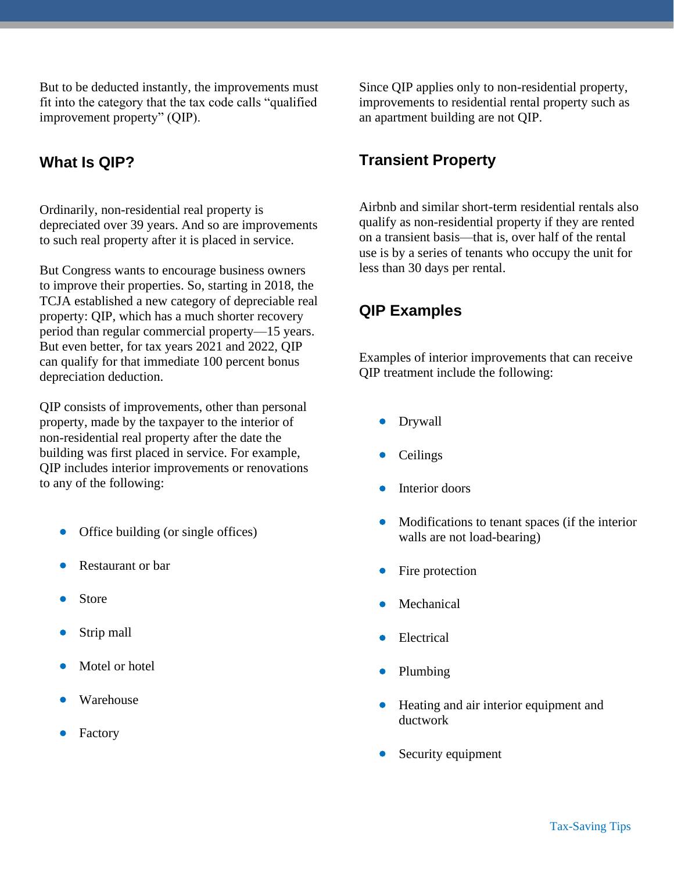But to be deducted instantly, the improvements must fit into the category that the tax code calls "qualified improvement property" (QIP).

### **What Is QIP?**

Ordinarily, non-residential real property is depreciated over 39 years. And so are improvements to such real property after it is placed in service.

But Congress wants to encourage business owners to improve their properties. So, starting in 2018, the TCJA established a new category of depreciable real property: QIP, which has a much shorter recovery period than regular commercial property—15 years. But even better, for tax years 2021 and 2022, QIP can qualify for that immediate 100 percent bonus depreciation deduction.

QIP consists of improvements, other than personal property, made by the taxpayer to the interior of non-residential real property after the date the building was first placed in service. For example, QIP includes interior improvements or renovations to any of the following:

- Office building (or single offices)
- Restaurant or bar
- **Store**
- Strip mall
- Motel or hotel
- Warehouse
- **Factory**

Since QIP applies only to non-residential property, improvements to residential rental property such as an apartment building are not QIP.

### **Transient Property**

Airbnb and similar short-term residential rentals also qualify as non-residential property if they are rented on a transient basis—that is, over half of the rental use is by a series of tenants who occupy the unit for less than 30 days per rental.

### **QIP Examples**

Examples of interior improvements that can receive QIP treatment include the following:

- Drywall
- **Ceilings**
- Interior doors
- Modifications to tenant spaces (if the interior walls are not load-bearing)
- Fire protection
- **Mechanical**
- Electrical
- Plumbing
- Heating and air interior equipment and ductwork
- Security equipment